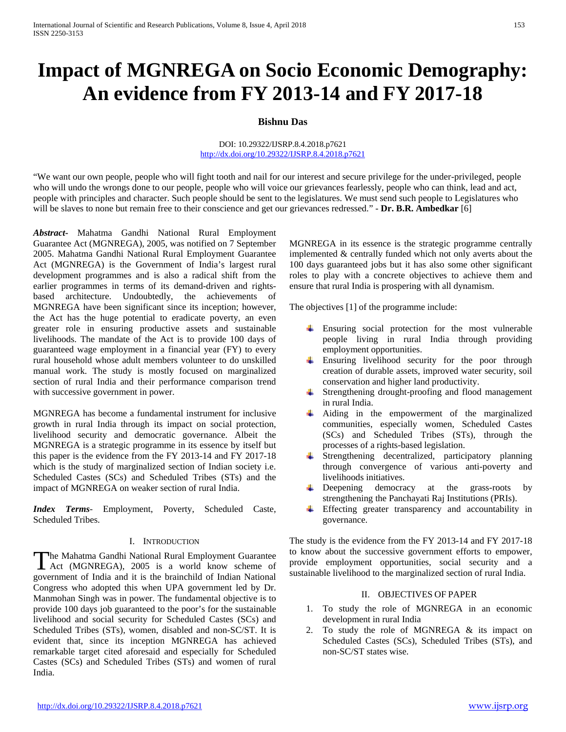# **Impact of MGNREGA on Socio Economic Demography: An evidence from FY 2013-14 and FY 2017-18**

# **Bishnu Das**

#### DOI: 10.29322/IJSRP.8.4.2018.p7621 <http://dx.doi.org/10.29322/IJSRP.8.4.2018.p7621>

"We want our own people, people who will fight tooth and nail for our interest and secure privilege for the under-privileged, people who will undo the wrongs done to our people, people who will voice our grievances fearlessly, people who can think, lead and act, people with principles and character. Such people should be sent to the legislatures. We must send such people to Legislatures who will be slaves to none but remain free to their conscience and get our grievances redressed." - **Dr. B.R. Ambedkar** [6]

*Abstract***-** Mahatma Gandhi National Rural Employment Guarantee Act (MGNREGA), 2005, was notified on 7 September 2005. Mahatma Gandhi National Rural Employment Guarantee Act (MGNREGA) is the Government of India's largest rural development programmes and is also a radical shift from the earlier programmes in terms of its demand-driven and rightsbased architecture. Undoubtedly, the achievements of MGNREGA have been significant since its inception; however, the Act has the huge potential to eradicate poverty, an even greater role in ensuring productive assets and sustainable livelihoods. The mandate of the Act is to provide 100 days of guaranteed wage employment in a financial year (FY) to every rural household whose adult members volunteer to do unskilled manual work. The study is mostly focused on marginalized section of rural India and their performance comparison trend with successive government in power.

MGNREGA has become a fundamental instrument for inclusive growth in rural India through its impact on social protection, livelihood security and democratic governance. Albeit the MGNREGA is a strategic programme in its essence by itself but this paper is the evidence from the FY 2013-14 and FY 2017-18 which is the study of marginalized section of Indian society i.e. Scheduled Castes (SCs) and Scheduled Tribes (STs) and the impact of MGNREGA on weaker section of rural India.

*Index Terms*- Employment, Poverty, Scheduled Caste, Scheduled Tribes.

#### I. INTRODUCTION

he Mahatma Gandhi National Rural Employment Guarantee The Mahatma Gandhi National Rural Employment Guarantee<br>
Act (MGNREGA), 2005 is a world know scheme of government of India and it is the brainchild of Indian National Congress who adopted this when UPA government led by Dr. Manmohan Singh was in power. The fundamental objective is to provide 100 days job guaranteed to the poor's for the sustainable livelihood and social security for Scheduled Castes (SCs) and Scheduled Tribes (STs), women, disabled and non-SC/ST. It is evident that, since its inception MGNREGA has achieved remarkable target cited aforesaid and especially for Scheduled Castes (SCs) and Scheduled Tribes (STs) and women of rural India.

MGNREGA in its essence is the strategic programme centrally implemented & centrally funded which not only averts about the 100 days guaranteed jobs but it has also some other significant roles to play with a concrete objectives to achieve them and ensure that rural India is prospering with all dynamism.

The objectives [1] of the programme include:

- Ensuring social protection for the most vulnerable people living in rural India through providing employment opportunities.
- Ensuring livelihood security for the poor through creation of durable assets, improved water security, soil conservation and higher land productivity.
- Strengthening drought-proofing and flood management in rural India.
- Aiding in the empowerment of the marginalized communities, especially women, Scheduled Castes (SCs) and Scheduled Tribes (STs), through the processes of a rights-based legislation.
- Strengthening decentralized, participatory planning through convergence of various anti-poverty and livelihoods initiatives.
- **Example 2** Deepening democracy at the grass-roots by strengthening the Panchayati Raj Institutions (PRIs).
- Effecting greater transparency and accountability in 4 governance.

The study is the evidence from the FY 2013-14 and FY 2017-18 to know about the successive government efforts to empower, provide employment opportunities, social security and a sustainable livelihood to the marginalized section of rural India.

# II. OBJECTIVES OF PAPER

- 1. To study the role of MGNREGA in an economic development in rural India
- 2. To study the role of MGNREGA & its impact on Scheduled Castes (SCs), Scheduled Tribes (STs), and non-SC/ST states wise.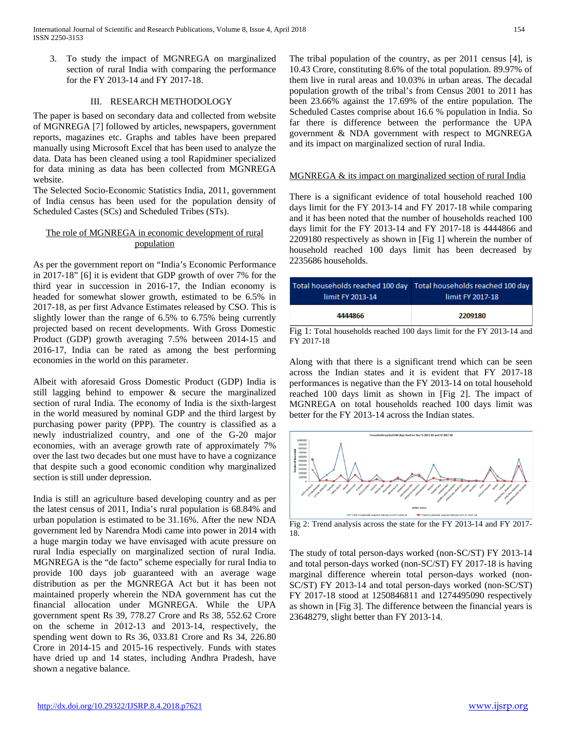3. To study the impact of MGNREGA on marginalized section of rural India with comparing the performance for the FY 2013-14 and FY 2017-18.

### III. RESEARCH METHODOLOGY

The paper is based on secondary data and collected from website of MGNREGA [7] followed by articles, newspapers, government reports, magazines etc. Graphs and tables have been prepared manually using Microsoft Excel that has been used to analyze the data. Data has been cleaned using a tool Rapidminer specialized for data mining as data has been collected from MGNREGA website.

The Selected Socio-Economic Statistics India, 2011, government of India census has been used for the population density of Scheduled Castes (SCs) and Scheduled Tribes (STs).

# The role of MGNREGA in economic development of rural population

As per the government report on "India's Economic Performance in 2017-18" [6] it is evident that GDP growth of over 7% for the third year in succession in 2016-17, the Indian economy is headed for somewhat slower growth, estimated to be 6.5% in 2017-18, as per first Advance Estimates released by CSO. This is slightly lower than the range of 6.5% to 6.75% being currently projected based on recent developments. With Gross Domestic Product (GDP) growth averaging 7.5% between 2014-15 and 2016-17, India can be rated as among the best performing economies in the world on this parameter.

Albeit with aforesaid Gross Domestic Product (GDP) India is still lagging behind to empower & secure the marginalized section of rural India. The economy of India is the sixth-largest in the world measured by nominal GDP and the third largest by purchasing power parity (PPP). The country is classified as a newly industrialized country, and one of the G-20 major economies, with an average growth rate of approximately 7% over the last two decades but one must have to have a cognizance that despite such a good economic condition why marginalized section is still under depression.

India is still an agriculture based developing country and as per the latest census of 2011, India's rural population is 68.84% and urban population is estimated to be 31.16%. After the new NDA government led by Narendra Modi came into power in 2014 with a huge margin today we have envisaged with acute pressure on rural India especially on marginalized section of rural India. MGNREGA is the "de facto" scheme especially for rural India to provide 100 days job guaranteed with an average wage distribution as per the MGNREGA Act but it has been not maintained properly wherein the NDA government has cut the financial allocation under MGNREGA. While the UPA government spent Rs 39, 778.27 Crore and Rs 38, 552.62 Crore on the scheme in 2012-13 and 2013-14, respectively, the spending went down to Rs 36, 033.81 Crore and Rs 34, 226.80 Crore in 2014-15 and 2015-16 respectively. Funds with states have dried up and 14 states, including Andhra Pradesh, have shown a negative balance.

The tribal population of the country, as per 2011 census [4], is 10.43 Crore, constituting 8.6% of the total population. 89.97% of them live in rural areas and 10.03% in urban areas. The decadal population growth of the tribal's from Census 2001 to 2011 has been 23.66% against the 17.69% of the entire population. The Scheduled Castes comprise about 16.6 % population in India. So far there is difference between the performance the UPA government & NDA government with respect to MGNREGA and its impact on marginalized section of rural India.

#### MGNREGA & its impact on marginalized section of rural India

There is a significant evidence of total household reached 100 days limit for the FY 2013-14 and FY 2017-18 while comparing and it has been noted that the number of households reached 100 days limit for the FY 2013-14 and FY 2017-18 is 4444866 and 2209180 respectively as shown in [Fig 1] wherein the number of household reached 100 days limit has been decreased by 2235686 households.

| limit FY 2013-14 | Total households reached 100 day Total households reached 100 day<br>limit FY 2017-18 |
|------------------|---------------------------------------------------------------------------------------|
| 4444866          | 2209180                                                                               |

Fig 1: Total households reached 100 days limit for the FY 2013-14 and FY 2017-18

Along with that there is a significant trend which can be seen across the Indian states and it is evident that FY 2017-18 performances is negative than the FY 2013-14 on total household reached 100 days limit as shown in [Fig 2]. The impact of MGNREGA on total households reached 100 days limit was better for the FY 2013-14 across the Indian states.



Fig 2: Trend analysis across the state for the FY 2013-14 and FY 2017- 18.

The study of total person-days worked (non-SC/ST) FY 2013-14 and total person-days worked (non-SC/ST) FY 2017-18 is having marginal difference wherein total person-days worked (non-SC/ST) FY 2013-14 and total person-days worked (non-SC/ST) FY 2017-18 stood at 1250846811 and 1274495090 respectively as shown in [Fig 3]. The difference between the financial years is 23648279, slight better than FY 2013-14.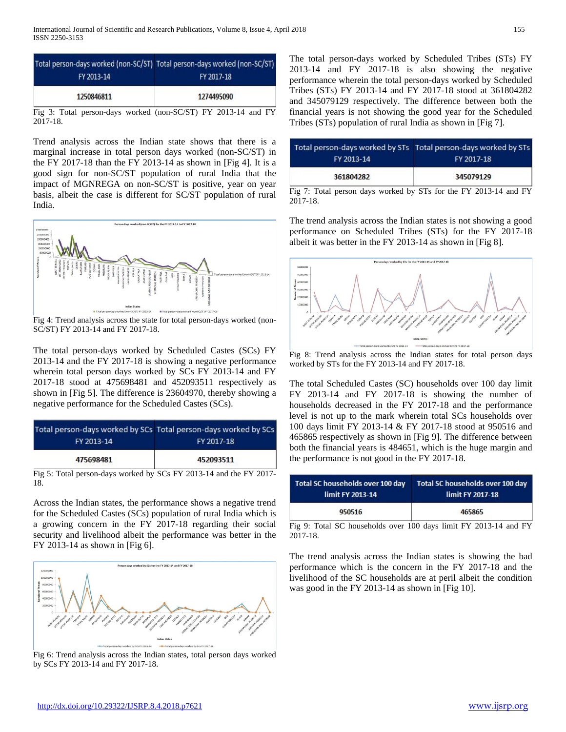| Total person-days worked (non-SC/ST) Total person-days worked (non-SC/ST) |            |
|---------------------------------------------------------------------------|------------|
| FY 2013-14                                                                | FY 2017-18 |
| 1250846811                                                                | 1274495090 |
|                                                                           |            |

Fig 3: Total person-days worked (non-SC/ST) FY 2013-14 and FY 2017-18.

Trend analysis across the Indian state shows that there is a marginal increase in total person days worked (non-SC/ST) in the FY 2017-18 than the FY 2013-14 as shown in [Fig 4]. It is a good sign for non-SC/ST population of rural India that the impact of MGNREGA on non-SC/ST is positive, year on year basis, albeit the case is different for SC/ST population of rural India.



Fig 4: Trend analysis across the state for total person-days worked (non-SC/ST) FY 2013-14 and FY 2017-18.

The total person-days worked by Scheduled Castes (SCs) FY 2013-14 and the FY 2017-18 is showing a negative performance wherein total person days worked by SCs FY 2013-14 and FY 2017-18 stood at 475698481 and 452093511 respectively as shown in [Fig 5]. The difference is 23604970, thereby showing a negative performance for the Scheduled Castes (SCs).

|            | Total person-days worked by SCs Total person-days worked by SCs |
|------------|-----------------------------------------------------------------|
| FY 2013-14 | FY 2017-18                                                      |
| 475698481  | 452093511                                                       |

Fig 5: Total person-days worked by SCs FY 2013-14 and the FY 2017- 18.

Across the Indian states, the performance shows a negative trend for the Scheduled Castes (SCs) population of rural India which is a growing concern in the FY 2017-18 regarding their social security and livelihood albeit the performance was better in the FY 2013-14 as shown in [Fig 6].



Fig 6: Trend analysis across the Indian states, total person days worked by SCs FY 2013-14 and FY 2017-18.

The total person-days worked by Scheduled Tribes (STs) FY 2013-14 and FY 2017-18 is also showing the negative performance wherein the total person-days worked by Scheduled Tribes (STs) FY 2013-14 and FY 2017-18 stood at 361804282 and 345079129 respectively. The difference between both the financial years is not showing the good year for the Scheduled Tribes (STs) population of rural India as shown in [Fig 7].

|            | Total person-days worked by STs Total person-days worked by STs |
|------------|-----------------------------------------------------------------|
| FY 2013-14 | FY 2017-18                                                      |
| 361804282  | 345079129                                                       |

Fig 7: Total person days worked by STs for the FY 2013-14 and FY 2017-18.

The trend analysis across the Indian states is not showing a good performance on Scheduled Tribes (STs) for the FY 2017-18 albeit it was better in the FY 2013-14 as shown in [Fig 8].



Fig 8: Trend analysis across the Indian states for total person days worked by STs for the FY 2013-14 and FY 2017-18.

The total Scheduled Castes (SC) households over 100 day limit FY 2013-14 and FY 2017-18 is showing the number of households decreased in the FY 2017-18 and the performance level is not up to the mark wherein total SCs households over 100 days limit FY 2013-14 & FY 2017-18 stood at 950516 and 465865 respectively as shown in [Fig 9]. The difference between both the financial years is 484651, which is the huge margin and the performance is not good in the FY 2017-18.

| Total SC households over 100 day | Total SC households over 100 day |
|----------------------------------|----------------------------------|
| limit FY 2013-14                 | limit FY 2017-18                 |
| 950516                           | 465865                           |

Fig 9: Total SC households over 100 days limit FY 2013-14 and FY 2017-18.

The trend analysis across the Indian states is showing the bad performance which is the concern in the FY 2017-18 and the livelihood of the SC households are at peril albeit the condition was good in the FY 2013-14 as shown in [Fig 10].